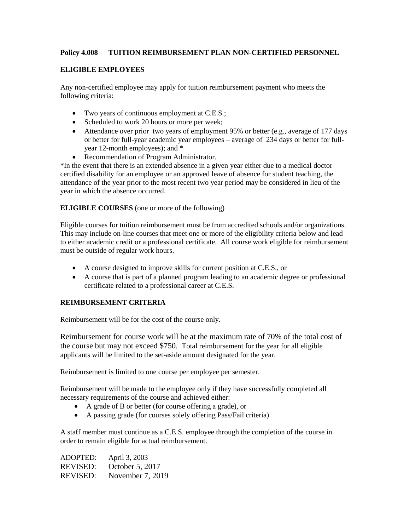## **Policy 4.008 TUITION REIMBURSEMENT PLAN NON-CERTIFIED PERSONNEL**

#### **ELIGIBLE EMPLOYEES**

Any non-certified employee may apply for tuition reimbursement payment who meets the following criteria:

- Two years of continuous employment at C.E.S.;
- Scheduled to work 20 hours or more per week;
- Attendance over prior two years of employment 95% or better (e.g., average of 177 days or better for full-year academic year employees – average of 234 days or better for fullyear 12-month employees); and \*
- Recommendation of Program Administrator.

\*In the event that there is an extended absence in a given year either due to a medical doctor certified disability for an employee or an approved leave of absence for student teaching, the attendance of the year prior to the most recent two year period may be considered in lieu of the year in which the absence occurred.

**ELIGIBLE COURSES** (one or more of the following)

Eligible courses for tuition reimbursement must be from accredited schools and/or organizations. This may include on-line courses that meet one or more of the eligibility criteria below and lead to either academic credit or a professional certificate. All course work eligible for reimbursement must be outside of regular work hours.

- A course designed to improve skills for current position at C.E.S., or
- A course that is part of a planned program leading to an academic degree or professional certificate related to a professional career at C.E.S.

## **REIMBURSEMENT CRITERIA**

Reimbursement will be for the cost of the course only.

Reimbursement for course work will be at the maximum rate of 70% of the total cost of the course but may not exceed \$750. Total reimbursement for the year for all eligible applicants will be limited to the set-aside amount designated for the year.

Reimbursement is limited to one course per employee per semester.

Reimbursement will be made to the employee only if they have successfully completed all necessary requirements of the course and achieved either:

- A grade of B or better (for course offering a grade), or
- A passing grade (for courses solely offering Pass/Fail criteria)

A staff member must continue as a C.E.S. employee through the completion of the course in order to remain eligible for actual reimbursement.

| <b>ADOPTED:</b> | April 3, 2003    |
|-----------------|------------------|
| REVISED:        | October 5, 2017  |
| REVISED:        | November 7, 2019 |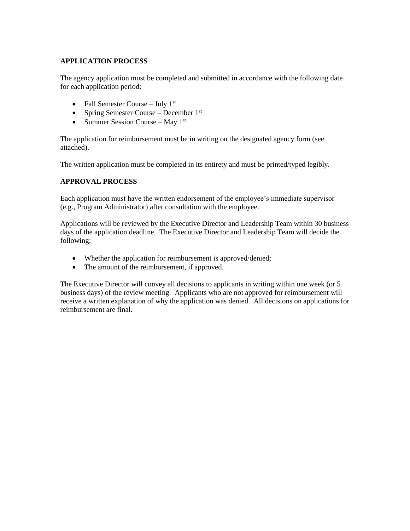## **APPLICATION PROCESS**

The agency application must be completed and submitted in accordance with the following date for each application period:

- Fall Semester Course July  $1<sup>st</sup>$
- Spring Semester Course December  $1<sup>st</sup>$
- Summer Session Course May  $1<sup>st</sup>$

The application for reimbursement must be in writing on the designated agency form (see attached).

The written application must be completed in its entirety and must be printed/typed legibly.

#### **APPROVAL PROCESS**

Each application must have the written endorsement of the employee's immediate supervisor (e.g., Program Administrator) after consultation with the employee.

Applications will be reviewed by the Executive Director and Leadership Team within 30 business days of the application deadline. The Executive Director and Leadership Team will decide the following:

- Whether the application for reimbursement is approved/denied;
- The amount of the reimbursement, if approved.

The Executive Director will convey all decisions to applicants in writing within one week (or 5 business days) of the review meeting. Applicants who are not approved for reimbursement will receive a written explanation of why the application was denied. All decisions on applications for reimbursement are final.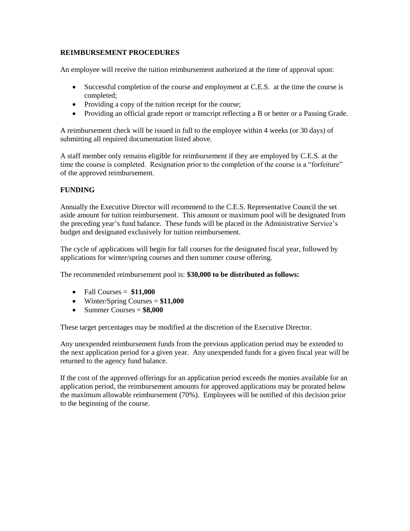### **REIMBURSEMENT PROCEDURES**

An employee will receive the tuition reimbursement authorized at the time of approval upon:

- Successful completion of the course and employment at C.E.S. at the time the course is completed;
- Providing a copy of the tuition receipt for the course;
- Providing an official grade report or transcript reflecting a B or better or a Passing Grade.

A reimbursement check will be issued in full to the employee within 4 weeks (or 30 days) of submitting all required documentation listed above.

A staff member only remains eligible for reimbursement if they are employed by C.E.S. at the time the course is completed. Resignation prior to the completion of the course is a "forfeiture" of the approved reimbursement.

## **FUNDING**

Annually the Executive Director will recommend to the C.E.S. Representative Council the set aside amount for tuition reimbursement. This amount or maximum pool will be designated from the preceding year's fund balance. These funds will be placed in the Administrative Service's budget and designated exclusively for tuition reimbursement.

The cycle of applications will begin for fall courses for the designated fiscal year, followed by applications for winter/spring courses and then summer course offering.

The recommended reimbursement pool is: **\$30,000 to be distributed as follows:**

- $\bullet$  Fall Courses =  $$11,000$
- Winter/Spring Courses = **\$11,000**
- $\bullet$  Summer Courses =  $$8,000$

These target percentages may be modified at the discretion of the Executive Director.

Any unexpended reimbursement funds from the previous application period may be extended to the next application period for a given year. Any unexpended funds for a given fiscal year will be returned to the agency fund balance.

If the cost of the approved offerings for an application period exceeds the monies available for an application period, the reimbursement amounts for approved applications may be prorated below the maximum allowable reimbursement (70%). Employees will be notified of this decision prior to the beginning of the course.